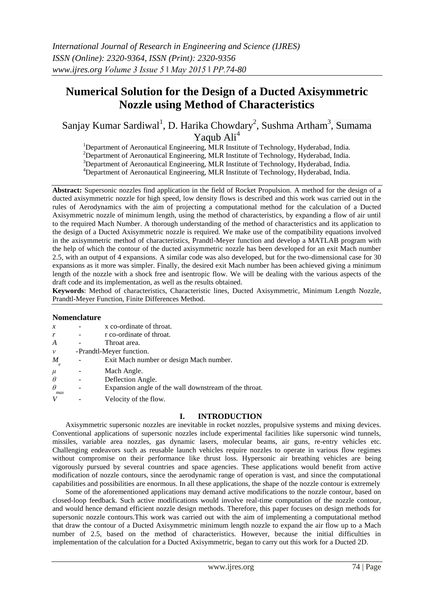# **Numerical Solution for the Design of a Ducted Axisymmetric Nozzle using Method of Characteristics**

Sanjay Kumar Sardiwal<sup>1</sup>, D. Harika Chowdary<sup>2</sup>, Sushma Artham<sup>3</sup>, Sumama Yaqub Ali<sup>4</sup>

<sup>1</sup>Department of Aeronautical Engineering, MLR Institute of Technology, Hyderabad, India.

 $2D$ epartment of Aeronautical Engineering, MLR Institute of Technology, Hyderabad, India.

<sup>3</sup>Department of Aeronautical Engineering, MLR Institute of Technology, Hyderabad, India.

<sup>4</sup>Department of Aeronautical Engineering, MLR Institute of Technology, Hyderabad, India.

**Abstract:** Supersonic nozzles find application in the field of Rocket Propulsion. A method for the design of a ducted axisymmetric nozzle for high speed, low density flows is described and this work was carried out in the rules of Aerodynamics with the aim of projecting a computational method for the calculation of a Ducted Axisymmetric nozzle of minimum length, using the method of characteristics, by expanding a flow of air until to the required Mach Number. A thorough understanding of the method of characteristics and its application to the design of a Ducted Axisymmetric nozzle is required. We make use of the compatibility equations involved in the axisymmetric method of characteristics, Prandtl-Meyer function and develop a MATLAB program with the help of which the contour of the ducted axisymmetric nozzle has been developed for an exit Mach number 2.5, with an output of 4 expansions. A similar code was also developed, but for the two-dimensional case for 30 expansions as it more was simpler. Finally, the desired exit Mach number has been achieved giving a minimum length of the nozzle with a shock free and isentropic flow. We will be dealing with the various aspects of the draft code and its implementation, as well as the results obtained.

**Keywords**: Method of characteristics, Characteristic lines, Ducted Axisymmetric, Minimum Length Nozzle, Prandtl-Meyer Function, Finite Differences Method.

# **Nomenclature**

| $\mathcal{X}$                  |                          | x co-ordinate of throat.                              |
|--------------------------------|--------------------------|-------------------------------------------------------|
| r                              |                          | r co-ordinate of throat.                              |
| A                              |                          | Throat area.                                          |
| $\mathcal V$                   | -Prandtl-Meyer function. |                                                       |
| $\boldsymbol{M}$<br>$\epsilon$ |                          | Exit Mach number or design Mach number.               |
| $\mu$                          |                          | Mach Angle.                                           |
| $\theta$                       |                          | Deflection Angle.                                     |
| $\theta$<br>max                |                          | Expansion angle of the wall downstream of the throat. |
|                                |                          | Velocity of the flow.                                 |

# **I. INTRODUCTION**

Axisymmetric supersonic nozzles are inevitable in rocket nozzles, propulsive systems and mixing devices. Conventional applications of supersonic nozzles include experimental facilities like supersonic wind tunnels, missiles, variable area nozzles, gas dynamic lasers, molecular beams, air guns, re-entry vehicles etc. Challenging endeavors such as reusable launch vehicles require nozzles to operate in various flow regimes without compromise on their performance like thrust loss. Hypersonic air breathing vehicles are being vigorously pursued by several countries and space agencies. These applications would benefit from active modification of nozzle contours, since the aerodynamic range of operation is vast, and since the computational capabilities and possibilities are enormous. In all these applications, the shape of the nozzle contour is extremely

Some of the aforementioned applications may demand active modifications to the nozzle contour, based on closed-loop feedback. Such active modifications would involve real-time computation of the nozzle contour, and would hence demand efficient nozzle design methods. Therefore, this paper focuses on design methods for supersonic nozzle contours.This work was carried out with the aim of implementing a computational method that draw the contour of a Ducted Axisymmetric minimum length nozzle to expand the air flow up to a Mach number of 2.5, based on the method of characteristics. However, because the initial difficulties in implementation of the calculation for a Ducted Axisymmetric, began to carry out this work for a Ducted 2D.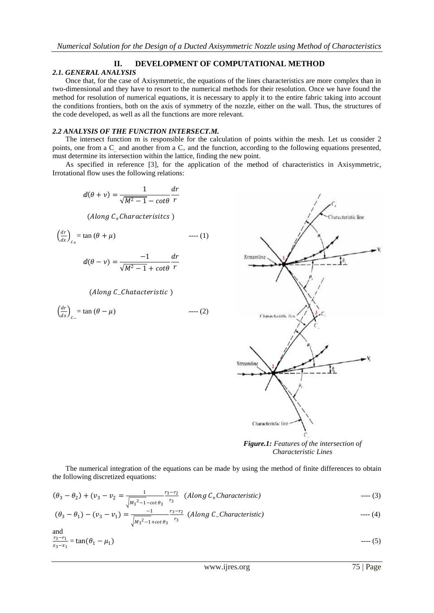# **II. DEVELOPMENT OF COMPUTATIONAL METHOD**

# *2.1. GENERAL ANALYSIS*

Once that, for the case of Axisymmetric, the equations of the lines characteristics are more complex than in two-dimensional and they have to resort to the numerical methods for their resolution. Once we have found the method for resolution of numerical equations, it is necessary to apply it to the entire fabric taking into account the conditions frontiers, both on the axis of symmetry of the nozzle, either on the wall. Thus, the structures of the code developed, as well as all the functions are more relevant.

# *2.2 ANALYSIS OF THE FUNCTION INTERSECT.M.*

The intersect function m is responsible for the calculation of points within the mesh. Let us consider 2 points, one from a C and another from a  $C_+$  and the function, according to the following equations presented, must determine its intersection within the lattice, finding the new point.

As specified in reference [3], for the application of the method of characteristics in Axisymmetric, Irrotational flow uses the following relations:

$$
d(\theta + v) = \frac{1}{\sqrt{M^2 - 1} - \cot \theta} \frac{dr}{r}
$$

(Along  $C_{+}$ Characterisitcs)

$$
\left(\frac{dr}{dx}\right)_{c+} = \tan\left(\theta + \mu\right) \qquad \qquad \text{---}(1)
$$

$$
dl(\theta - \nu) = \frac{-1}{\sqrt{M^2 - 1} + \cot \theta} \frac{dr}{r}
$$

(Along C\_Chatacteristic)

$$
\left(\frac{dr}{dx}\right)_{c-} = \tan\left(\theta - \mu\right) \qquad \qquad \text{--- (2)}
$$



*Figure.1: Features of the intersection of Characteristic Lines*

The numerical integration of the equations can be made by using the method of finite differences to obtain the following discretized equations:

$$
(\theta_3 - \theta_2) + (v_3 - v_2) = \frac{1}{\sqrt{M_3^2 - 1 - \cot \theta_3}} \frac{r_3 - r_2}{r_3} \quad (Along C_+ Characteristic) \tag{3}
$$

 <sup>3</sup> − <sup>1</sup> − <sup>3</sup> − <sup>1</sup> = −1 <sup>3</sup> <sup>2</sup>−1+ <sup>3</sup> 3−2 3 ( −*Characteristic)* ---- (4)

and

$$
\frac{r_3 - r_1}{x_3 - x_1} = \tan(\theta_1 - \mu_1) \tag{5}
$$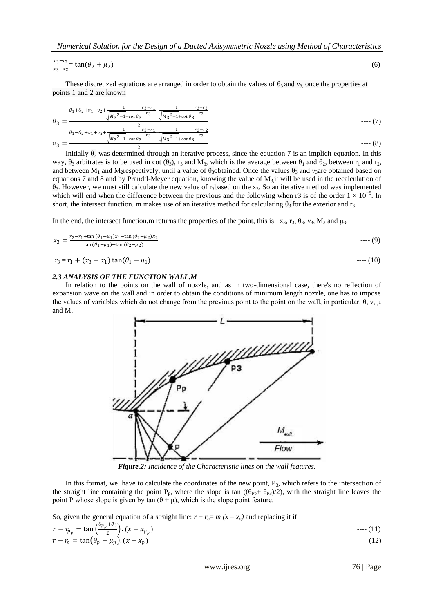*Numerical Solution for the Design of a Ducted Axisymmetric Nozzle using Method of Characteristics*

$$
\frac{r_3-r_2}{x_3-x_2} = \tan(\theta_2 + \mu_2) \qquad \qquad \text{---}(6)
$$

These discretized equations are arranged in order to obtain the values of  $\theta_3$  and  $v_3$  once the properties at points 1 and 2 are known

$$
\theta_3 = \frac{\theta_1 + \theta_2 + \nu_1 - \nu_2 + \frac{1}{\sqrt{M_3^2 - 1 - \cot \theta_3} \frac{r_3 - r_1}{r_3}} - \frac{1}{\sqrt{M_3^2 - 1 + \cot \theta_3} \frac{r_3 - r_2}{r_3}}}{\theta_1 - \theta_2 + \nu_1 + \nu_2 + \frac{1}{\sqrt{M_3^2 - 1 - \cot \theta_3} \frac{r_3 - r_1}{r_3}} - \frac{1}{\sqrt{M_3^2 - 1 + \cot \theta_3} \frac{r_3 - r_2}{r_3}}}}_{\text{---(8)}
$$

Initially  $\theta_3$  was determined through an iterative process, since the equation 7 is an implicit equation. In this way,  $\theta_3$  arbitrates is to be used in cot ( $\theta_3$ ),  $r_3$  and  $M_3$ , which is the average between  $\theta_1$  and  $\theta_2$ , between  $r_1$  and  $r_2$ , and between  $M_1$  and M<sub>2</sub>respectively, until a value of  $\theta_3$ obtained. Once the values  $\theta_3$  and v<sub>3</sub>are obtained based on equations 7 and 8 and by Prandtl-Meyer equation, knowing the value of  $M_3$  it will be used in the recalculation of  $\theta_3$ . However, we must still calculate the new value of r<sub>3</sub>based on the x<sub>3</sub>. So an iterative method was implemented which will end when the difference between the previous and the following when r3 is of the order  $1 \times 10^{-5}$ . In short, the intersect function. m makes use of an iterative method for calculating  $\theta_3$  for the exterior and r<sub>3</sub>.

In the end, the intersect function.m returns the properties of the point, this is:  $x_3$ ,  $r_3$ ,  $\theta_3$ ,  $v_3$ ,  $M_3$  and  $\mu_3$ .

$$
x_3 = \frac{r_2 - r_1 + \tan(\theta_1 - \mu_1)x_1 - \tan(\theta_2 - \mu_2)x_2}{\tan(\theta_1 - \mu_1) - \tan(\theta_2 - \mu_2)}
$$
---(9)

$$
r_3 = r_1 + (x_3 - x_1) \tan(\theta_1 - \mu_1) \tag{10}
$$

#### *2.3 ANALYSIS OF THE FUNCTION WALL.M*

In relation to the points on the wall of nozzle, and as in two-dimensional case, there's no reflection of expansion wave on the wall and in order to obtain the conditions of minimum length nozzle, one has to impose the values of variables which do not change from the previous point to the point on the wall, in particular,  $\theta$ ,  $v$ ,  $\mu$ and M.



*Figure.2: Incidence of the Characteristic lines on the wall features.*

In this format, we have to calculate the coordinates of the new point,  $P_3$ , which refers to the intersection of the straight line containing the point P<sub>p</sub>, where the slope is tan  $((\theta_{Pp}+\theta_{P3})/2)$ , with the straight line leaves the point P whose slope is given by tan  $(θ + μ)$ , which is the slope point feature.

So, given the general equation of a straight line:  $r - r_o = m(x - x_o)$  and replacing it if

$$
r - r_{p_p} = \tan\left(\frac{\theta_{p_p} + \theta_3}{2}\right) \cdot (x - x_{p_p})
$$
 ----(11)  

$$
r - r_p = \tan(\theta_p + \mu_p) \cdot (x - x_p)
$$
 ----(12)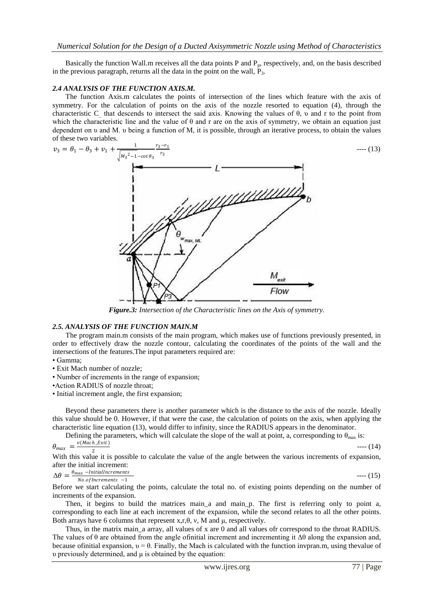Basically the function Wall.m receives all the data points P and  $P_p$ , respectively, and, on the basis described in the previous paragraph, returns all the data in the point on the wall,  $P_3$ .

#### *2.4 ANALYSIS OF THE FUNCTION AXIS.M.*

The function Axis.m calculates the points of intersection of the lines which feature with the axis of symmetry. For the calculation of points on the axis of the nozzle resorted to equation (4), through the characteristic C\_ that descends to intersect the said axis. Knowing the values of θ, υ and r to the point from which the characteristic line and the value of  $\theta$  and r are on the axis of symmetry, we obtain an equation just dependent on υ and M. υ being a function of M, it is possible, through an iterative process, to obtain the values of these two variables.



*Figure.3: Intersection of the Characteristic lines on the Axis of symmetry.*

# *2.5. ANALYSIS OF THE FUNCTION MAIN.M*

The program main.m consists of the main program, which makes use of functions previously presented, in order to effectively draw the nozzle contour, calculating the coordinates of the points of the wall and the intersections of the features.The input parameters required are:

- Gamma;
- Exit Mach number of nozzle;
- Number of increments in the range of expansion;
- •Action RADIUS of nozzle throat;
- Initial increment angle, the first expansion;

Beyond these parameters there is another parameter which is the distance to the axis of the nozzle. Ideally this value should be 0. However, if that were the case, the calculation of points on the axis, when applying the characteristic line equation (13), would differ to infinity, since the RADIUS appears in the denominator.

Defining the parameters, which will calculate the slope of the wall at point, a, corresponding to  $\theta_{\text{max}}$  is:  $\theta_{max}$  $v$ (Mach\_Exit) ---- (14)

 $\frac{2}{1}$ <br>With this value it is possible to calculate the value of the angle between the various increments of expansion, after the initial increment:

$$
\Delta\theta = \frac{\theta_{max} - \text{InitialIncrements}}{No \text{ of Increments } -1}
$$
 --- (15)

Before we start calculating the points, calculate the total no. of existing points depending on the number of increments of the expansion.

Then, it begins to build the matrices main\_a and main\_p. The first is referring only to point a, corresponding to each line at each increment of the expansion, while the second relates to all the other points. Both arrays have 6 columns that represent  $x, r, \theta, v, M$  and  $\mu$ , respectively.

Thus, in the matrix main\_a array, all values of x are 0 and all values ofr correspond to the throat RADIUS. The values of  $\theta$  are obtained from the angle of initial increment and incrementing it  $\Delta\theta$  along the expansion and, because of initial expansion,  $v = \theta$ . Finally, the Mach is calculated with the function invpran.m, using the value of υ previously determined, and μ is obtained by the equation: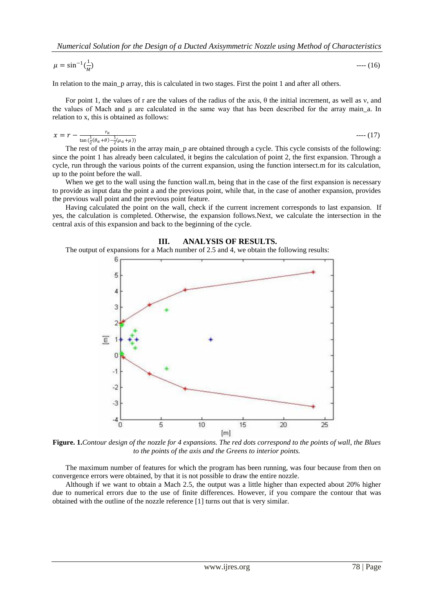$$
\mu = \sin^{-1}(\frac{1}{M}) \qquad \qquad \text{---}(16)
$$

In relation to the main\_p array, this is calculated in two stages. First the point 1 and after all others.

For point 1, the values of r are the values of the radius of the axis, θ the initial increment, as well as ν, and the values of Mach and  $\mu$  are calculated in the same way that has been described for the array main\_a. In relation to x, this is obtained as follows:

$$
x = r - \frac{r_a}{\tan(\frac{1}{2}(\theta_a + \theta) - \frac{1}{2}(\mu_a + \mu))}
$$
---(17)

The rest of the points in the array main p are obtained through a cycle. This cycle consists of the following: since the point 1 has already been calculated, it begins the calculation of point 2, the first expansion. Through a cycle, run through the various points of the current expansion, using the function intersect.m for its calculation, up to the point before the wall.

When we get to the wall using the function wall.m, being that in the case of the first expansion is necessary to provide as input data the point a and the previous point, while that, in the case of another expansion, provides the previous wall point and the previous point feature.

Having calculated the point on the wall, check if the current increment corresponds to last expansion. If yes, the calculation is completed. Otherwise, the expansion follows.Next, we calculate the intersection in the central axis of this expansion and back to the beginning of the cycle.

#### **III. ANALYSIS OF RESULTS.**

The output of expansions for a Mach number of 2.5 and 4, we obtain the following results:



**Figure. 1.***Contour design of the nozzle for 4 expansions. The red dots correspond to the points of wall, the Blues to the points of the axis and the Greens to interior points.*

The maximum number of features for which the program has been running, was four because from then on convergence errors were obtained, by that it is not possible to draw the entire nozzle.

Although if we want to obtain a Mach 2.5, the output was a little higher than expected about 20% higher due to numerical errors due to the use of finite differences. However, if you compare the contour that was obtained with the outline of the nozzle reference [1] turns out that is very similar.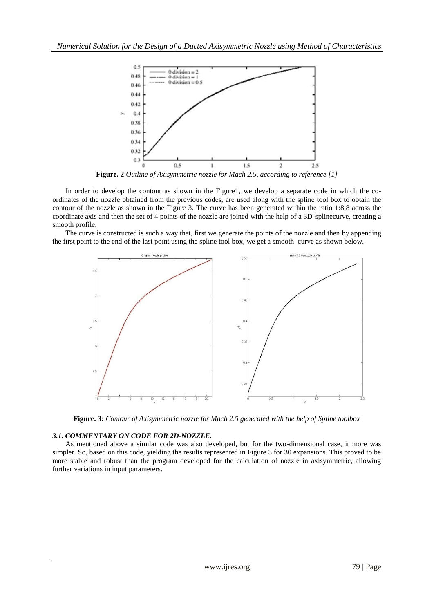

**Figure. 2**:*Outline of Axisymmetric nozzle for Mach 2.5, according to reference [1]*

In order to develop the contour as shown in the Figure1, we develop a separate code in which the coordinates of the nozzle obtained from the previous codes, are used along with the spline tool box to obtain the contour of the nozzle as shown in the Figure 3. The curve has been generated within the ratio 1:8.8 across the coordinate axis and then the set of 4 points of the nozzle are joined with the help of a 3D-splinecurve, creating a smooth profile.

The curve is constructed is such a way that, first we generate the points of the nozzle and then by appending the first point to the end of the last point using the spline tool box, we get a smooth curve as shown below.



**Figure. 3:** *Contour of Axisymmetric nozzle for Mach 2.5 generated with the help of Spline toolbox*

# *3.1. COMMENTARY ON CODE FOR 2D-NOZZLE.*

As mentioned above a similar code was also developed, but for the two-dimensional case, it more was simpler. So, based on this code, yielding the results represented in Figure 3 for 30 expansions. This proved to be more stable and robust than the program developed for the calculation of nozzle in axisymmetric, allowing further variations in input parameters.